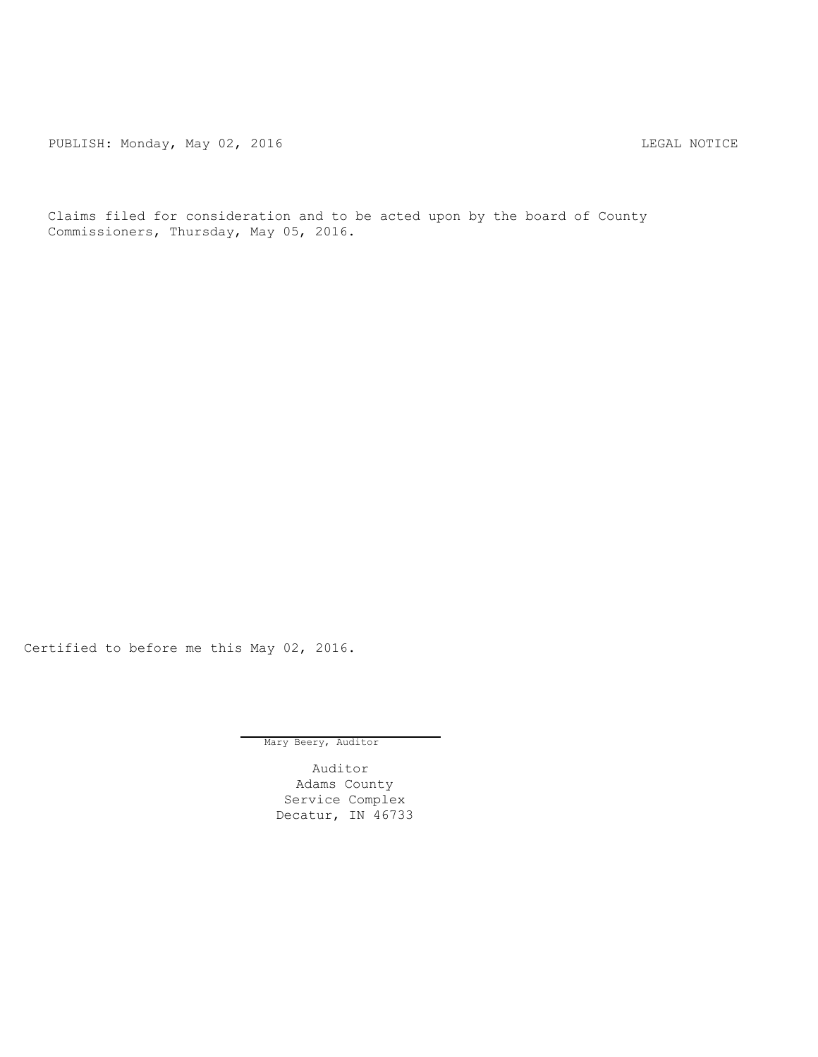PUBLISH: Monday, May 02, 2016 CHANGER CONSTRUCTED AND THE LEGAL NOTICE

Claims filed for consideration and to be acted upon by the board of County Commissioners, Thursday, May 05, 2016.

Certified to before me this May 02, 2016.

Mary Beery, Auditor

Auditor Adams County Service Complex Decatur, IN 46733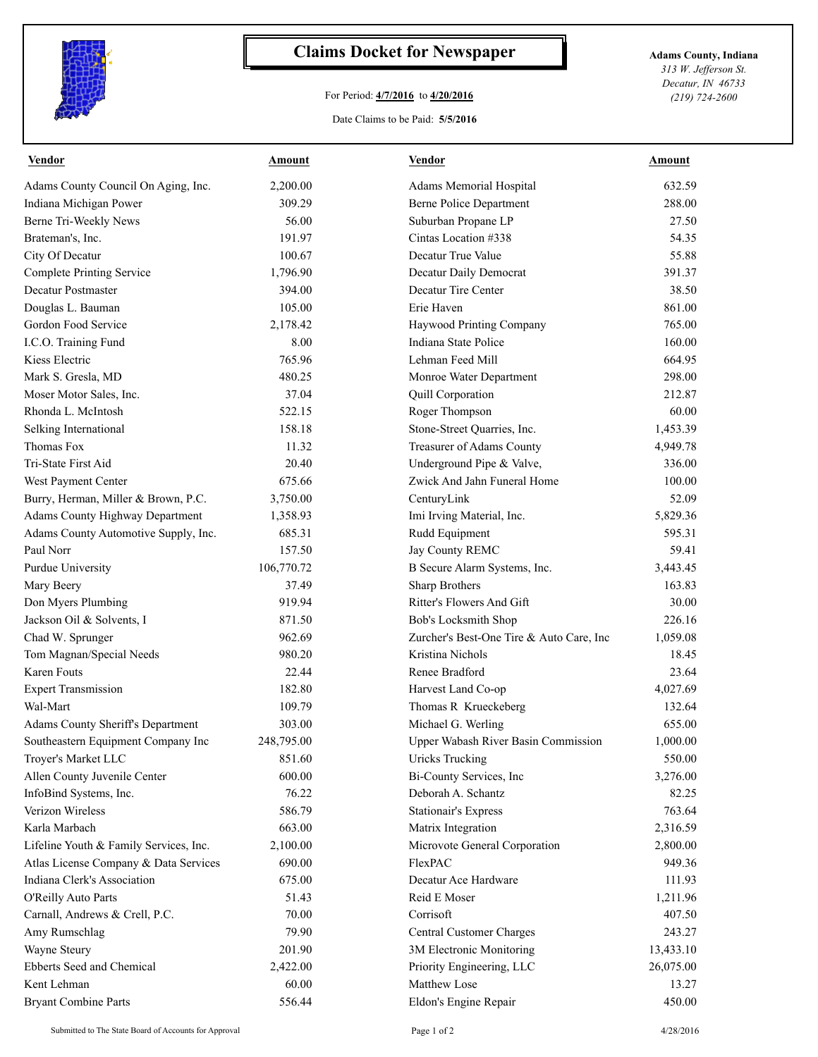

## **Claims Docket for Newspaper Adams County, Indiana**

## For Period: **4/7/2016** to **4/20/2016**

*313 W. Jefferson St. Decatur, IN 46733 (219) 724-2600*

## Date Claims to be Paid: **5/5/2016**

| <b>Vendor</b>                          | <b>Amount</b> | <b>Vendor</b>                                        | <b>Amount</b>       |
|----------------------------------------|---------------|------------------------------------------------------|---------------------|
| Adams County Council On Aging, Inc.    | 2,200.00      | Adams Memorial Hospital                              | 632.59              |
| Indiana Michigan Power                 | 309.29        | <b>Berne Police Department</b>                       | 288.00              |
| Berne Tri-Weekly News                  | 56.00         | Suburban Propane LP                                  | 27.50               |
| Brateman's, Inc.                       | 191.97        | Cintas Location #338                                 | 54.35               |
| City Of Decatur                        | 100.67        | Decatur True Value                                   | 55.88               |
| Complete Printing Service              | 1,796.90      | Decatur Daily Democrat                               | 391.37              |
| <b>Decatur Postmaster</b>              | 394.00        | Decatur Tire Center                                  | 38.50               |
| Douglas L. Bauman                      | 105.00        | Erie Haven                                           | 861.00              |
| Gordon Food Service                    | 2,178.42      | Haywood Printing Company                             | 765.00              |
| I.C.O. Training Fund                   | 8.00          | Indiana State Police                                 | 160.00              |
| Kiess Electric                         | 765.96        | Lehman Feed Mill                                     | 664.95              |
| Mark S. Gresla, MD                     | 480.25        | Monroe Water Department                              | 298.00              |
| Moser Motor Sales, Inc.                | 37.04         | Quill Corporation                                    | 212.87              |
| Rhonda L. McIntosh                     | 522.15        | Roger Thompson                                       | 60.00               |
| Selking International                  | 158.18        | Stone-Street Quarries, Inc.                          | 1,453.39            |
| Thomas Fox                             | 11.32         | Treasurer of Adams County                            | 4,949.78            |
| Tri-State First Aid                    | 20.40         | Underground Pipe & Valve,                            | 336.00              |
| West Payment Center                    | 675.66        | Zwick And Jahn Funeral Home                          | 100.00              |
| Burry, Herman, Miller & Brown, P.C.    | 3,750.00      | CenturyLink                                          | 52.09               |
| Adams County Highway Department        | 1,358.93      | Imi Irving Material, Inc.                            | 5,829.36            |
| Adams County Automotive Supply, Inc.   | 685.31        | Rudd Equipment                                       | 595.31              |
| Paul Norr                              | 157.50        | Jay County REMC                                      | 59.41               |
| Purdue University                      | 106,770.72    | B Secure Alarm Systems, Inc.                         | 3,443.45            |
| Mary Beery                             | 37.49         | Sharp Brothers                                       | 163.83              |
| Don Myers Plumbing                     | 919.94        | Ritter's Flowers And Gift                            | 30.00               |
| Jackson Oil & Solvents, I              | 871.50        | Bob's Locksmith Shop                                 | 226.16              |
| Chad W. Sprunger                       | 962.69        | Zurcher's Best-One Tire & Auto Care, Inc             | 1,059.08            |
| Tom Magnan/Special Needs               | 980.20        | Kristina Nichols                                     | 18.45               |
| Karen Fouts                            | 22.44         | Renee Bradford                                       | 23.64               |
| <b>Expert Transmission</b>             | 182.80        | Harvest Land Co-op                                   | 4,027.69            |
| Wal-Mart                               | 109.79        | Thomas R Krueckeberg                                 | 132.64              |
| Adams County Sheriff's Department      | 303.00        | Michael G. Werling                                   | 655.00              |
| Southeastern Equipment Company Inc     | 248,795.00    | Upper Wabash River Basin Commission                  | 1,000.00            |
| Troyer's Market LLC                    | 851.60        | <b>Uricks Trucking</b>                               | 550.00              |
| Allen County Juvenile Center           | 600.00        | Bi-County Services, Inc                              | 3,276.00            |
| InfoBind Systems, Inc.                 | 76.22         | Deborah A. Schantz                                   | 82.25               |
| Verizon Wireless                       | 586.79        | <b>Stationair's Express</b>                          | 763.64              |
| Karla Marbach                          | 663.00        | Matrix Integration                                   | 2,316.59            |
| Lifeline Youth & Family Services, Inc. | 2,100.00      | Microvote General Corporation                        | 2,800.00            |
| Atlas License Company & Data Services  | 690.00        | FlexPAC                                              | 949.36              |
| Indiana Clerk's Association            | 675.00        | Decatur Ace Hardware                                 | 111.93              |
| O'Reilly Auto Parts                    | 51.43         | Reid E Moser                                         | 1,211.96            |
| Carnall, Andrews & Crell, P.C.         | 70.00         | Corrisoft                                            | 407.50              |
|                                        | 79.90         |                                                      |                     |
| Amy Rumschlag<br>Wayne Steury          | 201.90        | Central Customer Charges<br>3M Electronic Monitoring | 243.27<br>13,433.10 |
| Ebberts Seed and Chemical              |               |                                                      |                     |
|                                        | 2,422.00      | Priority Engineering, LLC<br>Matthew Lose            | 26,075.00           |
| Kent Lehman                            | 60.00         |                                                      | 13.27               |
| <b>Bryant Combine Parts</b>            | 556.44        | Eldon's Engine Repair                                | 450.00              |